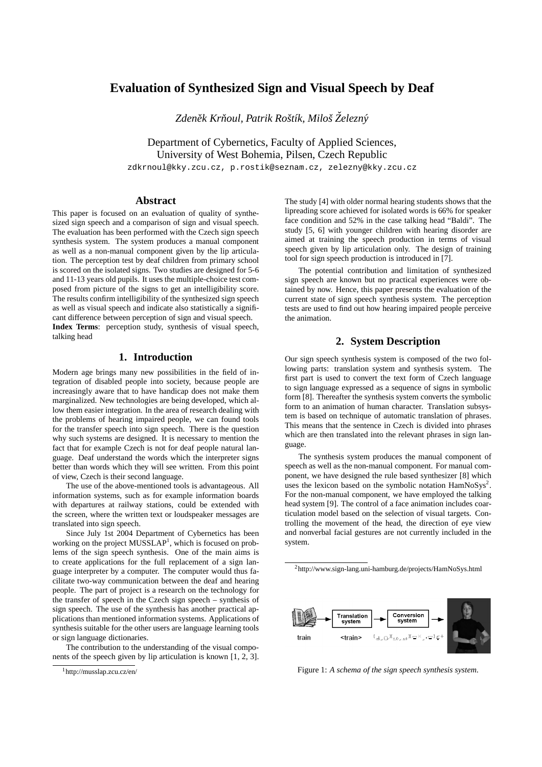# **Evaluation of Synthesized Sign and Visual Speech by Deaf**

*Zdenek Kr ˇ noul, Patrik Roˇst ˇ ´ık, Miloˇs Zelezn ˇ y´*

Department of Cybernetics, Faculty of Applied Sciences, University of West Bohemia, Pilsen, Czech Republic

zdkrnoul@kky.zcu.cz, p.rostik@seznam.cz, zelezny@kky.zcu.cz

# **Abstract**

This paper is focused on an evaluation of quality of synthesized sign speech and a comparison of sign and visual speech. The evaluation has been performed with the Czech sign speech synthesis system. The system produces a manual component as well as a non-manual component given by the lip articulation. The perception test by deaf children from primary school is scored on the isolated signs. Two studies are designed for 5-6 and 11-13 years old pupils. It uses the multiple-choice test composed from picture of the signs to get an intelligibility score. The results confirm intelligibility of the synthesized sign speech as well as visual speech and indicate also statistically a significant difference between perception of sign and visual speech. **Index Terms**: perception study, synthesis of visual speech, talking head

# **1. Introduction**

Modern age brings many new possibilities in the field of integration of disabled people into society, because people are increasingly aware that to have handicap does not make them marginalized. New technologies are being developed, which allow them easier integration. In the area of research dealing with the problems of hearing impaired people, we can found tools for the transfer speech into sign speech. There is the question why such systems are designed. It is necessary to mention the fact that for example Czech is not for deaf people natural language. Deaf understand the words which the interpreter signs better than words which they will see written. From this point of view, Czech is their second language.

The use of the above-mentioned tools is advantageous. All information systems, such as for example information boards with departures at railway stations, could be extended with the screen, where the written text or loudspeaker messages are translated into sign speech.

Since July 1st 2004 Department of Cybernetics has been working on the project MUSSLAP<sup>1</sup>, which is focused on problems of the sign speech synthesis. One of the main aims is to create applications for the full replacement of a sign language interpreter by a computer. The computer would thus facilitate two-way communication between the deaf and hearing people. The part of project is a research on the technology for the transfer of speech in the Czech sign speech – synthesis of sign speech. The use of the synthesis has another practical applications than mentioned information systems. Applications of synthesis suitable for the other users are language learning tools or sign language dictionaries.

The contribution to the understanding of the visual components of the speech given by lip articulation is known [1, 2, 3]. The study [4] with older normal hearing students shows that the lipreading score achieved for isolated words is 66% for speaker face condition and 52% in the case talking head "Baldi". The study [5, 6] with younger children with hearing disorder are aimed at training the speech production in terms of visual speech given by lip articulation only. The design of training tool for sign speech production is introduced in [7].

The potential contribution and limitation of synthesized sign speech are known but no practical experiences were obtained by now. Hence, this paper presents the evaluation of the current state of sign speech synthesis system. The perception tests are used to find out how hearing impaired people perceive the animation.

### **2. System Description**

Our sign speech synthesis system is composed of the two following parts: translation system and synthesis system. The first part is used to convert the text form of Czech language to sign language expressed as a sequence of signs in symbolic form [8]. Thereafter the synthesis system converts the symbolic form to an animation of human character. Translation subsystem is based on technique of automatic translation of phrases. This means that the sentence in Czech is divided into phrases which are then translated into the relevant phrases in sign language.

The synthesis system produces the manual component of speech as well as the non-manual component. For manual component, we have designed the rule based synthesizer [8] which uses the lexicon based on the symbolic notation  $\text{HamNoSys}^2$ . For the non-manual component, we have employed the talking head system [9]. The control of a face animation includes coarticulation model based on the selection of visual targets. Controlling the movement of the head, the direction of eye view and nonverbal facial gestures are not currently included in the system.

<sup>2</sup>http://www.sign-lang.uni-hamburg.de/projects/HamNoSys.html



Figure 1: *A schema of the sign speech synthesis system.*

<sup>1</sup>http://musslap.zcu.cz/en/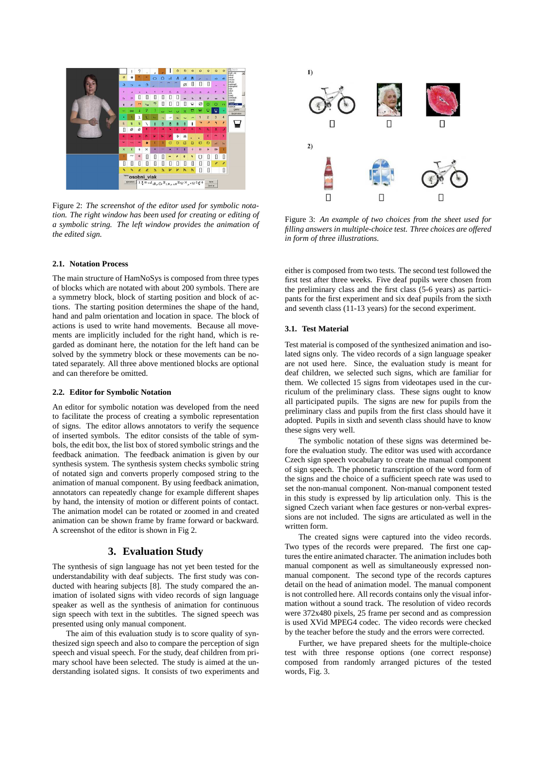

Figure 2: *The screenshot of the editor used for symbolic notation. The right window has been used for creating or editing of a symbolic string. The left window provides the animation of the edited sign.*

### **2.1. Notation Process**

The main structure of HamNoSys is composed from three types of blocks which are notated with about 200 symbols. There are a symmetry block, block of starting position and block of actions. The starting position determines the shape of the hand, hand and palm orientation and location in space. The block of actions is used to write hand movements. Because all movements are implicitly included for the right hand, which is regarded as dominant here, the notation for the left hand can be solved by the symmetry block or these movements can be notated separately. All three above mentioned blocks are optional and can therefore be omitted.

#### **2.2. Editor for Symbolic Notation**

An editor for symbolic notation was developed from the need to facilitate the process of creating a symbolic representation of signs. The editor allows annotators to verify the sequence of inserted symbols. The editor consists of the table of symbols, the edit box, the list box of stored symbolic strings and the feedback animation. The feedback animation is given by our synthesis system. The synthesis system checks symbolic string of notated sign and converts properly composed string to the animation of manual component. By using feedback animation, annotators can repeatedly change for example different shapes by hand, the intensity of motion or different points of contact. The animation model can be rotated or zoomed in and created animation can be shown frame by frame forward or backward. A screenshot of the editor is shown in Fig 2.

# **3. Evaluation Study**

The synthesis of sign language has not yet been tested for the understandability with deaf subjects. The first study was conducted with hearing subjects [8]. The study compared the animation of isolated signs with video records of sign language speaker as well as the synthesis of animation for continuous sign speech with text in the subtitles. The signed speech was presented using only manual component.

The aim of this evaluation study is to score quality of synthesized sign speech and also to compare the perception of sign speech and visual speech. For the study, deaf children from primary school have been selected. The study is aimed at the understanding isolated signs. It consists of two experiments and



Figure 3: *An example of two choices from the sheet used for filling answers in multiple-choice test. Three choices are offered in form of three illustrations.*

either is composed from two tests. The second test followed the first test after three weeks. Five deaf pupils were chosen from the preliminary class and the first class (5-6 years) as participants for the first experiment and six deaf pupils from the sixth and seventh class (11-13 years) for the second experiment.

#### **3.1. Test Material**

Test material is composed of the synthesized animation and isolated signs only. The video records of a sign language speaker are not used here. Since, the evaluation study is meant for deaf children, we selected such signs, which are familiar for them. We collected 15 signs from videotapes used in the curriculum of the preliminary class. These signs ought to know all participated pupils. The signs are new for pupils from the preliminary class and pupils from the first class should have it adopted. Pupils in sixth and seventh class should have to know these signs very well.

The symbolic notation of these signs was determined before the evaluation study. The editor was used with accordance Czech sign speech vocabulary to create the manual component of sign speech. The phonetic transcription of the word form of the signs and the choice of a sufficient speech rate was used to set the non-manual component. Non-manual component tested in this study is expressed by lip articulation only. This is the signed Czech variant when face gestures or non-verbal expressions are not included. The signs are articulated as well in the written form.

The created signs were captured into the video records. Two types of the records were prepared. The first one captures the entire animated character. The animation includes both manual component as well as simultaneously expressed nonmanual component. The second type of the records captures detail on the head of animation model. The manual component is not controlled here. All records contains only the visual information without a sound track. The resolution of video records were 372x480 pixels, 25 frame per second and as compression is used XVid MPEG4 codec. The video records were checked by the teacher before the study and the errors were corrected.

Further, we have prepared sheets for the multiple-choice test with three response options (one correct response) composed from randomly arranged pictures of the tested words, Fig. 3.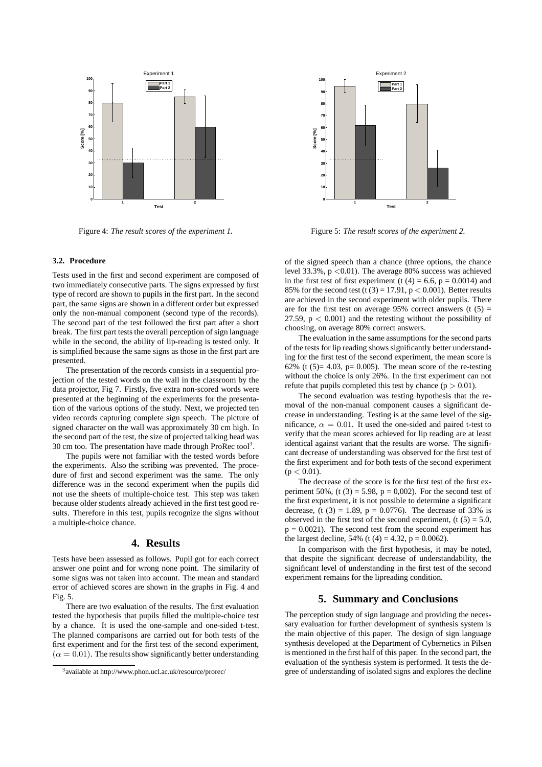

Figure 4: *The result scores of the experiment 1.*

#### **3.2. Procedure**

Tests used in the first and second experiment are composed of two immediately consecutive parts. The signs expressed by first type of record are shown to pupils in the first part. In the second part, the same signs are shown in a different order but expressed only the non-manual component (second type of the records). The second part of the test followed the first part after a short break. The first part tests the overall perception of sign language while in the second, the ability of lip-reading is tested only. It is simplified because the same signs as those in the first part are presented.

The presentation of the records consists in a sequential projection of the tested words on the wall in the classroom by the data projector, Fig 7. Firstly, five extra non-scored words were presented at the beginning of the experiments for the presentation of the various options of the study. Next, we projected ten video records capturing complete sign speech. The picture of signed character on the wall was approximately 30 cm high. In the second part of the test, the size of projected talking head was 30 cm too. The presentation have made through ProRec tool<sup>3</sup>.

The pupils were not familiar with the tested words before the experiments. Also the scribing was prevented. The procedure of first and second experiment was the same. The only difference was in the second experiment when the pupils did not use the sheets of multiple-choice test. This step was taken because older students already achieved in the first test good results. Therefore in this test, pupils recognize the signs without a multiple-choice chance.

# **4. Results**

Tests have been assessed as follows. Pupil got for each correct answer one point and for wrong none point. The similarity of some signs was not taken into account. The mean and standard error of achieved scores are shown in the graphs in Fig. 4 and Fig. 5.

There are two evaluation of the results. The first evaluation tested the hypothesis that pupils filled the multiple-choice test by a chance. It is used the one-sample and one-sided t-test. The planned comparisons are carried out for both tests of the first experiment and for the first test of the second experiment,  $(\alpha = 0.01)$ . The results show significantly better understanding



Figure 5: *The result scores of the experiment 2.*

of the signed speech than a chance (three options, the chance level  $33.3\%$ ,  $p < 0.01$ ). The average 80% success was achieved in the first test of first experiment (t  $(4) = 6.6$ , p = 0.0014) and 85% for the second test (t (3) = 17.91,  $p < 0.001$ ). Better results are achieved in the second experiment with older pupils. There are for the first test on average 95% correct answers (t  $(5)$  = 27.59,  $p < 0.001$ ) and the retesting without the possibility of choosing, on average 80% correct answers.

The evaluation in the same assumptions for the second parts of the tests for lip reading shows significantly better understanding for the first test of the second experiment, the mean score is 62% (t  $(5)= 4.03$ ,  $p= 0.005$ ). The mean score of the re-testing without the choice is only 26%. In the first experiment can not refute that pupils completed this test by chance  $(p > 0.01)$ .

The second evaluation was testing hypothesis that the removal of the non-manual component causes a significant decrease in understanding. Testing is at the same level of the significance,  $\alpha = 0.01$ . It used the one-sided and paired t-test to verify that the mean scores achieved for lip reading are at least identical against variant that the results are worse. The significant decrease of understanding was observed for the first test of the first experiment and for both tests of the second experiment  $(p < 0.01)$ .

The decrease of the score is for the first test of the first experiment 50%, (t  $(3) = 5.98$ ,  $p = 0.002$ ). For the second test of the first experiment, it is not possible to determine a significant decrease, (t  $(3) = 1.89$ ,  $p = 0.0776$ ). The decrease of 33% is observed in the first test of the second experiment,  $(t (5) = 5.0,$  $p = 0.0021$ . The second test from the second experiment has the largest decline,  $54\%$  (t (4) = 4.32, p = 0.0062).

In comparison with the first hypothesis, it may be noted, that despite the significant decrease of understandability, the significant level of understanding in the first test of the second experiment remains for the lipreading condition.

# **5. Summary and Conclusions**

The perception study of sign language and providing the necessary evaluation for further development of synthesis system is the main objective of this paper. The design of sign language synthesis developed at the Department of Cybernetics in Pilsen is mentioned in the first half of this paper. In the second part, the evaluation of the synthesis system is performed. It tests the degree of understanding of isolated signs and explores the decline

<sup>3</sup> available at http://www.phon.ucl.ac.uk/resource/prorec/